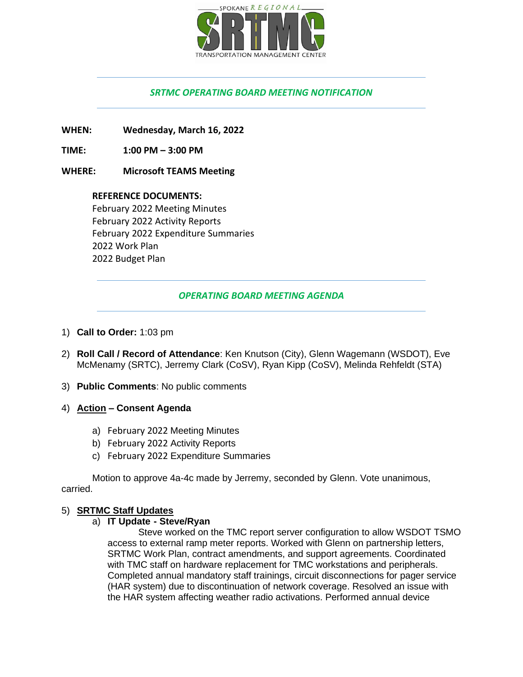

# *SRTMC OPERATING BOARD MEETING NOTIFICATION*

**WHEN: Wednesday, March 16, 2022**

**TIME: 1:00 PM – 3:00 PM**

#### **WHERE: Microsoft TEAMS Meeting**

**REFERENCE DOCUMENTS:** February 2022 Meeting Minutes February 2022 Activity Reports February 2022 Expenditure Summaries 2022 Work Plan 2022 Budget Plan

## *OPERATING BOARD MEETING AGENDA*

- 1) **Call to Order:** 1:03 pm
- 2) **Roll Call / Record of Attendance**: Ken Knutson (City), Glenn Wagemann (WSDOT), Eve McMenamy (SRTC), Jerremy Clark (CoSV), Ryan Kipp (CoSV), Melinda Rehfeldt (STA)
- 3) **Public Comments**: No public comments
- 4) **Action – Consent Agenda**
	- a) February 2022 Meeting Minutes
	- b) February 2022 Activity Reports
	- c) February 2022 Expenditure Summaries

Motion to approve 4a-4c made by Jerremy, seconded by Glenn. Vote unanimous, carried.

#### 5) **SRTMC Staff Updates**

a) **IT Update - Steve/Ryan**

Steve worked on the TMC report server configuration to allow WSDOT TSMO access to external ramp meter reports. Worked with Glenn on partnership letters, SRTMC Work Plan, contract amendments, and support agreements. Coordinated with TMC staff on hardware replacement for TMC workstations and peripherals. Completed annual mandatory staff trainings, circuit disconnections for pager service (HAR system) due to discontinuation of network coverage. Resolved an issue with the HAR system affecting weather radio activations. Performed annual device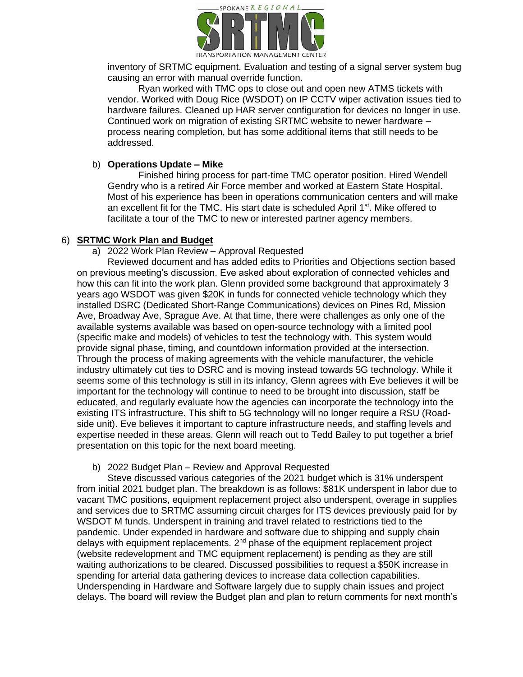

inventory of SRTMC equipment. Evaluation and testing of a signal server system bug causing an error with manual override function.

Ryan worked with TMC ops to close out and open new ATMS tickets with vendor. Worked with Doug Rice (WSDOT) on IP CCTV wiper activation issues tied to hardware failures. Cleaned up HAR server configuration for devices no longer in use. Continued work on migration of existing SRTMC website to newer hardware – process nearing completion, but has some additional items that still needs to be addressed.

### b) **Operations Update – Mike**

Finished hiring process for part-time TMC operator position. Hired Wendell Gendry who is a retired Air Force member and worked at Eastern State Hospital. Most of his experience has been in operations communication centers and will make an excellent fit for the TMC. His start date is scheduled April 1<sup>st</sup>. Mike offered to facilitate a tour of the TMC to new or interested partner agency members.

### 6) **SRTMC Work Plan and Budget**

a) 2022 Work Plan Review – Approval Requested

Reviewed document and has added edits to Priorities and Objections section based on previous meeting's discussion. Eve asked about exploration of connected vehicles and how this can fit into the work plan. Glenn provided some background that approximately 3 years ago WSDOT was given \$20K in funds for connected vehicle technology which they installed DSRC (Dedicated Short-Range Communications) devices on Pines Rd, Mission Ave, Broadway Ave, Sprague Ave. At that time, there were challenges as only one of the available systems available was based on open-source technology with a limited pool (specific make and models) of vehicles to test the technology with. This system would provide signal phase, timing, and countdown information provided at the intersection. Through the process of making agreements with the vehicle manufacturer, the vehicle industry ultimately cut ties to DSRC and is moving instead towards 5G technology. While it seems some of this technology is still in its infancy, Glenn agrees with Eve believes it will be important for the technology will continue to need to be brought into discussion, staff be educated, and regularly evaluate how the agencies can incorporate the technology into the existing ITS infrastructure. This shift to 5G technology will no longer require a RSU (Roadside unit). Eve believes it important to capture infrastructure needs, and staffing levels and expertise needed in these areas. Glenn will reach out to Tedd Bailey to put together a brief presentation on this topic for the next board meeting.

## b) 2022 Budget Plan – Review and Approval Requested

Steve discussed various categories of the 2021 budget which is 31% underspent from initial 2021 budget plan. The breakdown is as follows: \$81K underspent in labor due to vacant TMC positions, equipment replacement project also underspent, overage in supplies and services due to SRTMC assuming circuit charges for ITS devices previously paid for by WSDOT M funds. Underspent in training and travel related to restrictions tied to the pandemic. Under expended in hardware and software due to shipping and supply chain delays with equipment replacements.  $2<sup>nd</sup>$  phase of the equipment replacement project (website redevelopment and TMC equipment replacement) is pending as they are still waiting authorizations to be cleared. Discussed possibilities to request a \$50K increase in spending for arterial data gathering devices to increase data collection capabilities. Underspending in Hardware and Software largely due to supply chain issues and project delays. The board will review the Budget plan and plan to return comments for next month's